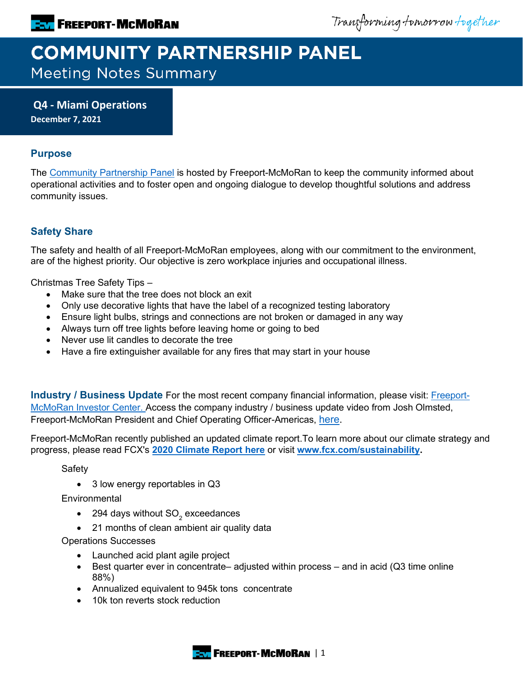Transforming tomorrow together

# **COMMUNITY PARTNERSHIP PANEL Meeting Notes Summary**

**Q4 - Miami Operations December 7, 2021**

# **Purpose**

The [Community Partnership Panel](https://www.freeportinmycommunity.com/stakeholders/stakeholder-engagement-) is hosted by Freeport-McMoRan to keep the community informed about operational activities and to foster open and ongoing dialogue to develop thoughtful solutions and address community issues.

# **Safety Share**

The safety and health of all Freeport-McMoRan employees, along with our commitment to the environment, are of the highest priority. Our objective is zero workplace injuries and occupational illness.

Christmas Tree Safety Tips –

- Make sure that the tree does not block an exit
- Only use decorative lights that have the label of a recognized testing laboratory
- Ensure light bulbs, strings and connections are not broken or damaged in any way
- Always turn off tree lights before leaving home or going to bed
- Never use lit candles to decorate the tree
- Have a fire extinguisher available for any fires that may start in your house

**Industry / Business Update** For the most recent company financial information, please visit: [Freeport-](http://investors.fcx.com/investors/default.aspx)[McMoRan Investor Center.](http://investors.fcx.com/investors/default.aspx) Access the company industry / business update video from Josh Olmsted, Freeport-McMoRan President and Chief Operating Officer-Americas, [here.](https://youtu.be/cCXXaE3grIo)

Freeport-McMoRan recently published an updated climate report.To learn more about our climate strategy and progress, please read FCX's **[2020 Climate Report here](https://www.fcx.com/sites/fcx/files/documents/sustainability/2020-Climate-Report.pdf)** or visit **[www.fcx.com/sustainability.](http://www.fcx.com/sustainability)**

Safety

• 3 low energy reportables in Q3

**Environmental** 

- $\bullet$  294 days without SO<sub>2</sub> exceedances
- 21 months of clean ambient air quality data

Operations Successes

- Launched acid plant agile project
- Best quarter ever in concentrate– adjusted within process and in acid (Q3 time online 88%)
- Annualized equivalent to 945k tons concentrate
- 10k ton reverts stock reduction

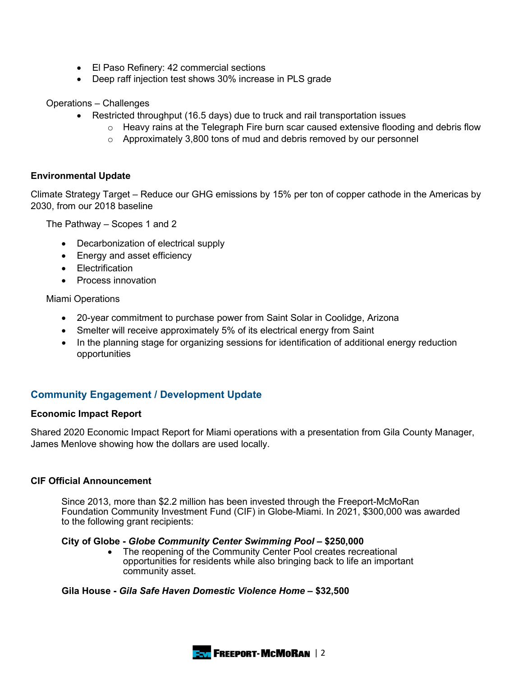- El Paso Refinery: 42 commercial sections
- Deep raff injection test shows 30% increase in PLS grade

Operations – Challenges

- Restricted throughput (16.5 days) due to truck and rail transportation issues
	- $\circ$  Heavy rains at the Telegraph Fire burn scar caused extensive flooding and debris flow
	- $\circ$  Approximately 3,800 tons of mud and debris removed by our personnel

#### **Environmental Update**

Climate Strategy Target – Reduce our GHG emissions by 15% per ton of copper cathode in the Americas by 2030, from our 2018 baseline

The Pathway – Scopes 1 and 2

- Decarbonization of electrical supply
- Energy and asset efficiency
- Electrification
- Process innovation

Miami Operations

- 20-year commitment to purchase power from Saint Solar in Coolidge, Arizona
- Smelter will receive approximately 5% of its electrical energy from Saint
- In the planning stage for organizing sessions for identification of additional energy reduction opportunities

# **Community Engagement / Development Update**

#### **Economic Impact Report**

Shared 2020 Economic Impact Report for Miami operations with a presentation from Gila County Manager, James Menlove showing how the dollars are used locally.

#### **CIF Official Announcement**

Since 2013, more than \$2.2 million has been invested through the Freeport-McMoRan Foundation Community Investment Fund (CIF) in Globe-Miami. In 2021, \$300,000 was awarded to the following grant recipients:

#### **City of Globe -** *Globe Community Center Swimming Pool* **– \$250,000**

• The reopening of the Community Center Pool creates recreational opportunities for residents while also bringing back to life an important community asset.

#### **Gila House -** *Gila Safe Haven Domestic Violence Home* **– \$32,500**

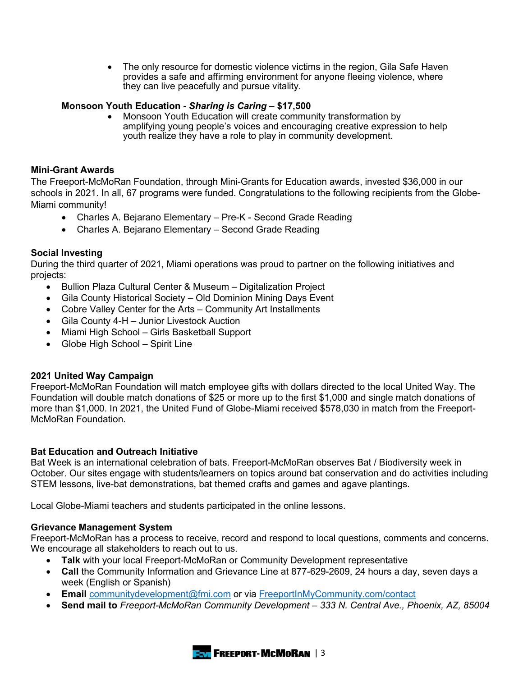• The only resource for domestic violence victims in the region, Gila Safe Haven provides a safe and affirming environment for anyone fleeing violence, where they can live peacefully and pursue vitality.

# **Monsoon Youth Education -** *Sharing is Caring* **– \$17,500**

• Monsoon Youth Education will create community transformation by amplifying young people's voices and encouraging creative expression to help youth realize they have a role to play in community development.

## **Mini-Grant Awards**

The Freeport-McMoRan Foundation, through Mini-Grants for Education awards, invested \$36,000 in our schools in 2021. In all, 67 programs were funded. Congratulations to the following recipients from the Globe-Miami community!

- Charles A. Bejarano Elementary Pre-K Second Grade Reading
- Charles A. Bejarano Elementary Second Grade Reading

## **Social Investing**

During the third quarter of 2021, Miami operations was proud to partner on the following initiatives and projects:

- Bullion Plaza Cultural Center & Museum Digitalization Project
- Gila County Historical Society Old Dominion Mining Days Event
- Cobre Valley Center for the Arts Community Art Installments
- Gila County 4-H Junior Livestock Auction
- Miami High School Girls Basketball Support
- Globe High School Spirit Line

## **2021 United Way Campaign**

Freeport-McMoRan Foundation will match employee gifts with dollars directed to the local United Way. The Foundation will double match donations of \$25 or more up to the first \$1,000 and single match donations of more than \$1,000. In 2021, the United Fund of Globe-Miami received \$578,030 in match from the Freeport-McMoRan Foundation.

## **Bat Education and Outreach Initiative**

Bat Week is an international celebration of bats. Freeport-McMoRan observes Bat / Biodiversity week in October. Our sites engage with students/learners on topics around bat conservation and do activities including STEM lessons, live-bat demonstrations, bat themed crafts and games and agave plantings.

Local Globe-Miami teachers and students participated in the online lessons.

## **Grievance Management System**

Freeport-McMoRan has a process to receive, record and respond to local questions, comments and concerns. We encourage all stakeholders to reach out to us.

- **Talk** with your local Freeport-McMoRan or Community Development representative
- **Call** the Community Information and Grievance Line at 877-629-2609, 24 hours a day, seven days a week (English or Spanish)
- **Email** [communitydevelopment@fmi.com](mailto:communitydevelopment@fmi.com) or via [FreeportInMyCommunity.com/contact](http://freeportinmycommunity.com/contact)
- **Send mail to** *Freeport-McMoRan Community Development – 333 N. Central Ave., Phoenix, AZ, 85004*